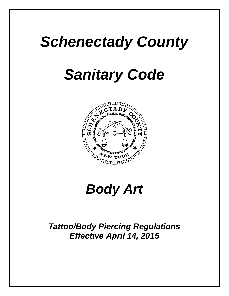# *Schenectady County*

# *Sanitary Code*



# *Body Art*

*Tattoo/Body Piercing Regulations Effective April 14, 2015*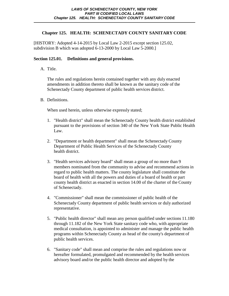[HISTORY: Adopted 4-14-2015 by Local Law 2-2015 except section 125.02, subdivision B which was adopted 6-13-2000 by Local Law 5-2000.]

# **Section 125.01. Definitions and general provisions.**

A. Title.

The rules and regulations herein contained together with any duly enacted amendments in addition thereto shall be known as the sanitary code of the Schenectady County department of public health services district.

B. Definitions.

When used herein, unless otherwise expressly stated;

- 1. "Health district" shall mean the Schenectady County health district established pursuant to the provisions of section 340 of the New York State Public Health Law.
- 2. "Department or health department" shall mean the Schenectady County Department of Public Health Services of the Schenectady County health district.
- 3. "Health services advisory board" shall mean a group of no more than 9 members nominated from the community to advise and recommend actions in regard to public health matters. The county legislature shall constitute the board of health with all the powers and duties of a board of health or part county health district as enacted in section 14.00 of the charter of the County of Schenectady.
- 4. "Commissioner" shall mean the commissioner of public health of the Schenectady County department of public health services or duly authorized representative.
- 5. "Public health director" shall mean any person qualified under sections 11.180 through 11.182 of the New York State sanitary code who, with appropriate medical consultation, is appointed to administer and manage the public health programs within Schenectady County as head of the county's department of public health services.
- 6. "Sanitary code" shall mean and comprise the rules and regulations now or hereafter formulated, promulgated and recommended by the health services advisory board and/or the public health director and adopted by the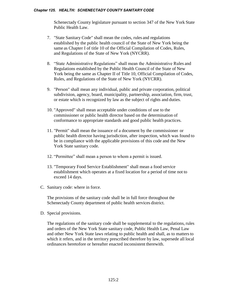Schenectady County legislature pursuant to section 347 of the New York State Public Health Law.

- 7. "State Sanitary Code" shall mean the codes, rules and regulations established by the public health council of the State of New York being the same as Chapter I of title 10 of the Official Compilation of Codes, Rules, and Regulations of the State of New York (NYCRR).
- 8. "State Administrative Regulations" shall mean the Administrative Rules and Regulations established by the Public Health Council of the State of New York being the same as Chapter II of Title 10, Official Compilation of Codes, Rules, and Regulations of the State of New York (NYCRR).
- 9. "Person" shall mean any individual, public and private corporation, political subdivision, agency, board, municipality, partnership, association, firm, trust, or estate which is recognized by law as the subject of rights and duties.
- 10. "Approved" shall mean acceptable under conditions of use to the commissioner or public health director based on the determination of conformance to appropriate standards and good public health practices.
- 11. "Permit" shall mean the issuance of a document by the commissioner or public health director having jurisdiction, after inspection, which was found to be in compliance with the applicable provisions of this code and the New York State sanitary code.
- 12. "Permittee" shall mean a person to whom a permit is issued.
- 13. "Temporary Food Service Establishment" shall mean a food service establishment which operates at a fixed location for a period of time not to exceed 14 days.
- C. Sanitary code: where in force.

The provisions of the sanitary code shall be in full force throughout the Schenectady County department of public health services district.

D. Special provisions.

The regulations of the sanitary code shall be supplemental to the regulations, rules and orders of the New York State sanitary code, Public Health Law, Penal Law and other New York State laws relating to public health and shall, as to mattersto which it refers, and in the territory prescribed therefore by law, supersede all local ordinances heretofore or hereafter enacted inconsistent therewith.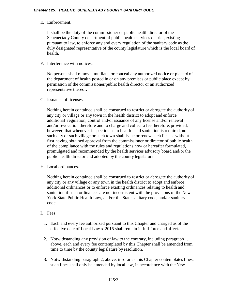# E. Enforcement.

It shall be the duty of the commissioner or public health director of the Schenectady County department of public health services district, existing pursuant to law, to enforce any and every regulation of the sanitary code as the duly designated representative of the county legislature which is the local board of health.

# F. Interference with notices.

No persons shall remove, mutilate, or conceal any authorized notice or placard of the department of health posted in or on any premises or public place except by permission of the commissioner/public health director or an authorized representative thereof.

G. Issuance of licenses.

Nothing herein contained shall be construed to restrict or abrogate the authority of any city or village or any town in the health district to adopt and enforce additional regulation, control and/or issuance of any license and/or renewal and/or revocation therefore and to charge and collect a fee therefore, provided, however, that whenever inspection as to health and sanitation is required, no such city or such village or such town shall issue or renew such license without first having obtained approval from the commissioner or director of public health of the compliance with the rules and regulations now or hereafter formulated, promulgated and recommended by the health services advisory board and/or the public health director and adopted by the county legislature.

H. Local ordinances.

Nothing herein contained shall be construed to restrict or abrogate the authority of any city or any village or any town in the health district to adopt and enforce additional ordinances or to enforce existing ordinances relating to health and sanitation if such ordinances are not inconsistent with the provisions of the New York State Public Health Law, and/or the State sanitary code, and/or sanitary code.

- I. Fees
	- 1. Each and every fee authorized pursuant to this Chapter and charged as of the effective date of Local Law x-2015 shall remain in full force and affect.
	- 2. Notwithstanding any provision of law to the contrary, including paragraph 1, above, each and every fee contemplated by this Chapter shall be amended from time to time by the county legislature by resolution.
	- 3. Notwithstanding paragraph 2, above, insofar as this Chapter contemplatesfines, such fines shall only be amended by local law, in accordance with the New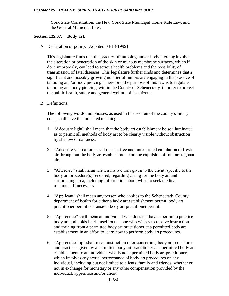York State Constitution, the New York State Municipal Home Rule Law, and the General Municipal Law.

## **Section 125.07. Body art.**

A. Declaration of policy. [Adopted 04-13-1999]

This legislature finds that the practice of tattooing and/or body piercing involves the alteration or penetration of the skin or mucous membrane surfaces, which if done improperly, can lead to serious health problems and the possibility of transmission of fatal diseases. This legislature further finds and determines that a significant and possibly growing number of minors are engaging in the practice of tattooing and/or body piercing. Therefore, the purpose of this law is to regulate tattooing and body piercing, within the County of Schenectady, in order to protect the public health, safety and general welfare of its citizens.

B. Definitions.

The following words and phrases, as used in this section of the county sanitary code, shall have the indicated meanings:

- 1. "Adequate light" shall mean that the body art establishment be so illuminated as to permit all methods of body art to be clearly visible without obstruction by shadow or darkness.
- 2. "Adequate ventilation" shall mean a free and unrestricted circulation of fresh air throughout the body art establishment and the expulsion of foul orstagnant air.
- 3. "Aftercare" shall mean written instructions given to the client, specific to the body art procedure(s) rendered, regarding caring for the body art and surrounding area, including information about when to seek medical treatment, if necessary.
- 4. "Applicant" shall mean any person who applies to the Schenectady County department of health for either a body art establishment permit, body art practitioner permit or transient body art practitioner permit.
- 5. "Apprentice" shall mean an individual who does not have a permit to practice body art and holds her/himself out as one who wishes to receive instruction and training from a permitted body art practitioner at a permitted body art establishment in an effort to learn how to perform body art procedures.
- 6. "Apprenticeship" shall mean instruction of or concerning body art procedures and practices given by a permitted body art practitioner at a permitted body art establishment to an individual who is not a permitted body art practitioner, which involves any actual performance of body art procedures on any individual, including but not limited to clients, family and friends, whether or not in exchange for monetary or any other compensation provided by the individual, apprentice and/or client.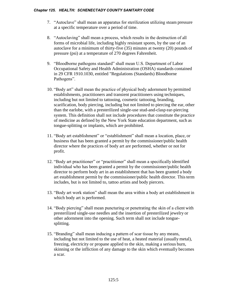- 7. "Autoclave" shall mean an apparatus for sterilization utilizing steam pressure at a specific temperature over a period of time.
- 8. "Autoclaving" shall mean a process, which results in the destruction of all forms of microbial life, including highly resistant spores, by the use of an autoclave for a minimum of thirty-five (35) minutes at twenty (20) pounds of pressure (psi) at a temperature of 270 degrees Fahrenheit.
- 9. "Bloodborne pathogens standard" shall mean U.S. Department of Labor Occupational Safety and Health Administration (OSHA) standards contained in 29 CFR 1910.1030, entitled "Regulations (Standards) Bloodborne Pathogens".
- 10. "Body art" shall mean the practice of physical body adornment by permitted establishments, practitioners and transient practitioners using techniques, including but not limited to tattooing, cosmetic tattooing, branding, scarification, body piercing, including but not limited to piercing the ear, other than the earlobe, with a presterilized single-use stud-and-clasp ear-piercing system. This definition shall not include procedures that constitute the practice of medicine as defined by the New York State education department, such as tongue-splitting or implants, which are prohibited.
- 11. "Body art establishment" or "establishment" shall mean a location, place, or business that has been granted a permit by the commissioner/public health director where the practices of body art are performed, whether or not for profit.
- 12. "Body art practitioner" or "practitioner" shall mean a specifically identified individual who has been granted a permit by the commissioner/public health director to perform body art in an establishment that has been granted a body art establishment permit by the commissioner/public health director. Thisterm includes, but is not limited to, tattoo artists and body piercers.
- 13. "Body art work station" shall mean the area within a body art establishment in which body art is performed.
- 14. "Body piercing" shall mean puncturing or penetrating the skin of a client with presterilized single-use needles and the insertion of presterilized jewelry or other adornment into the opening. Such term shall not include tonguesplitting.
- 15. "Branding" shall mean inducing a pattern of scar tissue by any means, including but not limited to the use of heat, a heated material (usually metal), freezing, electricity or propane applied to the skin, making a serious burn, skinning or the infliction of any damage to the skin which eventually becomes a scar.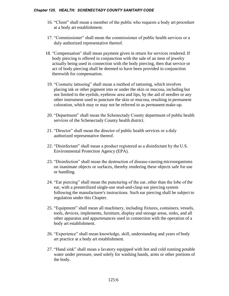- 16. "Client" shall mean a member of the public who requests a body art procedure at a body art establishment.
- 17. "Commissioner" shall mean the commissioner of public health services or a duly authorized representative thereof.
- 18. "Compensation" shall mean payment given in return for services rendered. If body piercing is offered in conjunction with the sale of an item of jewelry actually being used in connection with the body piercing, then that service or act of body piercing shall be deemed to have been provided in conjunction therewith for compensation.
- 19. "Cosmetic tattooing" shall mean a method of tattooing, which involves placing ink or other pigment into or under the skin or mucosa, including but not limited to the eyelids, eyebrow area and lips, by the aid of needles or any other instrument used to puncture the skin or mucosa, resulting in permanent coloration, which may or may not be referred to as permanent make-up.
- 20. "Department" shall mean the Schenectady County department of public health services of the Schenectady County health district.
- 21. "Director" shall mean the director of public health services or a duly authorized representative thereof.
- 22. "Disinfectant" shall mean a product registered as a disinfectant by the U.S. Environmental Protection Agency (EPA).
- 23. "Disinfection" shall mean the destruction of disease-causing microorganisms on inanimate objects or surfaces, thereby rendering these objects safe for use or handling.
- 24. "Ear piercing" shall mean the puncturing of the ear, other than the lobe of the ear, with a presterilized single-use stud-and-clasp ear piercing system following the manufacturer's instructions. Such ear piercing shall be subject to regulation under this Chapter.
- 25. "Equipment" shall mean all machinery, including fixtures, containers, vessels, tools, devices, implements, furniture, display and storage areas, sinks, and all other apparatus and appurtenances used in connection with the operation of a body art establishment.
- 26. "Experience" shall mean knowledge, skill, understanding and years of body art practice at a body art establishment.
- 27. "Hand sink" shall mean a lavatory equipped with hot and cold running potable water under pressure, used solely for washing hands, arms or other portions of the body.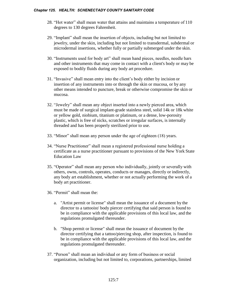- 28. "Hot water" shall mean water that attains and maintains a temperature of 110 degrees to 130 degrees Fahrenheit.
- 29. "Implant" shall mean the insertion of objects, including but not limited to jewelry, under the skin, including but not limited to transdermal, subdermal or microdermal insertions, whether fully or partially submerged under the skin.
- 30. "Instruments used for body art" shall mean hand pieces, needles, needle bars and other instruments that may come in contact with a client's body or may be exposed to bodily fluids during any body art procedure.
- 31. "Invasive" shall mean entry into the client's body either by incision or insertion of any instruments into or through the skin or mucosa, or by any other means intended to puncture, break or otherwise compromise the skin or mucosa.
- 32. "Jewelry" shall mean any object inserted into a newly pierced area, which must be made of surgical implant-grade stainless steel, solid 14k or 18k white or yellow gold, niobium, titanium or platinum, or a dense, low-porosity plastic, which is free of nicks, scratches or irregular surfaces, is internally threaded and has been properly sterilized prior to use.
- 33. "Minor" shall mean any person under the age of eighteen (18) years.
- 34. "Nurse Practitioner" shall mean a registered professional nurse holding a certificate as a nurse practitioner pursuant to provisions of the New York State Education Law
- 35. "Operator" shall mean any person who individually, jointly or severally with others, owns, controls, operates, conducts or manages, directly or indirectly, any body art establishment, whether or not actually performing the work of a body art practitioner.
- 36. "Permit" shall mean the:
	- a. "Artist permit or license" shall mean the issuance of a document by the director to a tattooist/ body piercer certifying that said person is found to be in compliance with the applicable provisions of this local law, and the regulations promulgated thereunder.
	- b. "Shop permit or license" shall mean the issuance of document by the director certifying that a tattoo/piercing shop, after inspection, is found to be in compliance with the applicable provisions of this local law, and the regulations promulgated thereunder.
- 37. "Person" shall mean an individual or any form of business or social organization, including but not limited to, corporations, partnerships, limited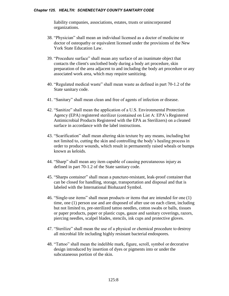liability companies, associations, estates, trusts or unincorporated organizations.

- 38. "Physician" shall mean an individual licensed as a doctor of medicine or doctor of osteopathy or equivalent licensed under the provisions of the New York State Education Law.
- 39. "Procedure surface" shall mean any surface of an inanimate object that contacts the client's unclothed body during a body art procedure, skin preparation of the area adjacent to and including the body art procedure or any associated work area, which may require sanitizing.
- 40. "Regulated medical waste" shall mean waste as defined in part 70-1.2 of the State sanitary code.
- 41. "Sanitary" shall mean clean and free of agents of infection or disease.
- 42. "Sanitize" shall mean the application of a U.S. Environmental Protection Agency (EPA) registered sterilizer (contained on List A: EPA's Registered Antimicrobial Products Registered with the EPA as Sterilizers) on a cleaned surface in accordance with the label instructions.
- 43. "Scarification" shall mean altering skin texture by any means, including but not limited to, cutting the skin and controlling the body's healing process in order to produce wounds, which result in permanently raised wheals or bumps known as keloids.
- 44. "Sharp" shall mean any item capable of causing percutaneous injury as defined in part 70-1.2 of the State sanitary code.
- 45. "Sharps container" shall mean a puncture-resistant, leak-proof container that can be closed for handling, storage, transportation and disposal and that is labeled with the International Biohazard Symbol.
- 46. "Single-use items" shall mean products or items that are intended for one (1) time, one (1) person use and are disposed of after use on each client, including but not limited to, pre-sterilized tattoo needles, cotton swabs or balls, tissues or paper products, paper or plastic cups, gauze and sanitary coverings, razors, piercing needles, scalpel blades, stencils, ink cups and protective gloves.
- 47. "Sterilize" shall mean the use of a physical or chemical procedure to destroy all microbial life including highly resistant bacterial endospores.
- 48. "Tattoo" shall mean the indelible mark, figure, scroll, symbol or decorative design introduced by insertion of dyes or pigments into or under the subcutaneous portion of the skin.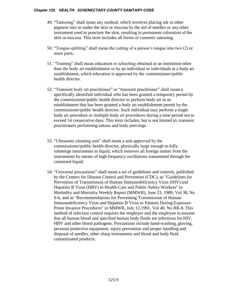- 49. "Tattooing" shall mean any method, which involves placing ink or other pigment into or under the skin or mucosa by the aid of needles or any other instrument used to puncture the skin, resulting in permanent coloration of the skin or mucosa. This term includes all forms of cosmetic tattooing.
- 50. "Tongue-splitting" shall mean the cutting of a person's tongue into two (2) or more parts.
- 51. "Training" shall mean education or schooling obtained at an institution other than the body art establishment or by an individual or individuals at a body art establishment, which education is approved by the commissioner/public health director.
- 52. "Transient body art practitioner" or "transient practitioner" shall mean a specifically identified individual who has been granted a temporary permit by the commissioner/public health director to perform body art in an establishment that has been granted a body art establishment permit by the commissioner/public health director. Such individual may perform a single body art procedure or multiple body art procedures during a time period not to exceed 14 consecutive days. This term includes, but is not limited to, transient practitioners performing tattoos and body piercings.
- 53. "Ultrasonic cleaning unit" shall mean a unit approved by the commissioner/public health director, physically large enough to fully submerge instruments in liquid, which removes all foreign matter from the instruments by means of high frequency oscillations transmitted through the contained liquid.
- 54. "Universal precautions" shall mean a set of guidelines and controls, published by the Centers for Disease Control and Prevention (CDC), as "Guidelines for Prevention of Transmission of Human Immunodeficiency Virus (HIV) and Hepatitis B Virus (HBV) to Health-Care and Public-Safety Workers" in Morbidity and Mortality Weekly Report (MMWR), June 23, 1989, Vol 38, No S-6, and as "Recommendations for Preventing Transmission of Human Immunodeficiency Virus and Hepatitis B Virus to Patients During Exposure-Prone Invasive Procedures" in MMWR, July 12,1991, Vol 40, No RR-8. This method of infection control requires the employer and the employee to assume that all human blood and specified human body fluids are infectious for HIV, HBV and other blood pathogens. Precautions include hand-washing, gloving, personal protective equipment, injury prevention and proper handling and disposal of needles, other sharp instruments and blood and body fluid contaminated products.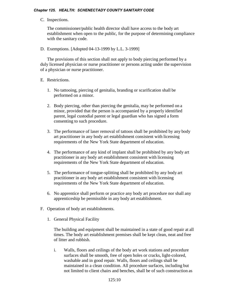# C. Inspections.

The commissioner/public health director shall have access to the body art establishment when open to the public, for the purpose of determining compliance with the sanitary code.

D. Exemptions. [Adopted 04-13-1999 by L.L. 3-1999]

The provisions of this section shall not apply to body piercing performed by a duly licensed physician or nurse practitioner or persons acting under the supervision of a physician or nurse practitioner.

# E. Restrictions.

- 1. No tattooing, piercing of genitalia, branding or scarification shall be performed on a minor.
- 2. Body piercing, other than piercing the genitalia, may be performed on a minor, provided that the person is accompanied by a properly identified parent, legal custodial parent or legal guardian who has signed a form consenting to such procedure.
- 3. The performance of laser removal of tattoos shall be prohibited by any body art practitioner in any body art establishment consistent with licensing requirements of the New York State department of education.
- 4. The performance of any kind of implant shall be prohibited by any body art practitioner in any body art establishment consistent with licensing requirements of the New York State department of education.
- 5. The performance of tongue-splitting shall be prohibited by any body art practitioner in any body art establishment consistent with licensing requirements of the New York State department of education.
- 6. No apprentice shall perform or practice any body art procedure nor shall any apprenticeship be permissible in any body art establishment.
- F. Operation of body art establishments.
	- 1. General Physical Facility

The building and equipment shall be maintained in a state of good repair at all times. The body art establishment premises shall be kept clean, neat and free of litter and rubbish.

i. Walls, floors and ceilings of the body art work stations and procedure surfaces shall be smooth, free of open holes or cracks, light-colored, washable and in good repair. Walls, floors and ceilings shall be maintained in a clean condition. All procedure surfaces, including but not limited to client chairs and benches, shall be of such construction as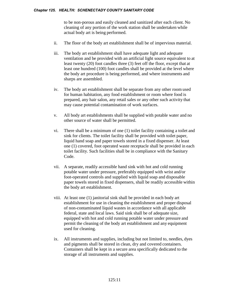to be non-porous and easily cleaned and sanitized after each client. No cleaning of any portion of the work station shall be undertaken while actual body art is being performed.

- ii. The floor of the body art establishment shall be of impervious material.
- iii. The body art establishment shall have adequate light and adequate ventilation and be provided with an artificial light source equivalent to at least twenty (20) foot candles three (3) feet off the floor, except that at least one hundred (100) foot candles shall be provided at the level where the body art procedure is being performed, and where instruments and sharps are assembled.
- iv. The body art establishment shall be separate from any other room used for human habitation, any food establishment or room where food is prepared, any hair salon, any retail sales or any other such activity that may cause potential contamination of work surfaces.
- v. All body art establishments shall be supplied with potable water and no other source of water shall be permitted.
- vi. There shall be a minimum of one (1) toilet facility containing a toilet and sink for clients. The toilet facility shall be provided with toilet paper, liquid hand soap and paper towels stored in a fixed dispenser. At least one (1) covered, foot operated waste receptacle shall be provided in each toilet facility. Such facilities shall be in compliance with the Sanitary Code.
- vii. A separate, readily accessible hand sink with hot and cold running potable water under pressure, preferably equipped with wrist and/or foot-operated controls and supplied with liquid soap and disposable paper towels stored in fixed dispensers, shall be readily accessible within the body art establishment.
- viii. At least one (1) janitorial sink shall be provided in each body art establishment for use in cleaning the establishment and proper disposal of non-contaminated liquid wastes in accordance with all applicable federal, state and local laws. Said sink shall be of adequate size, equipped with hot and cold running potable water under pressure and permit the cleaning of the body art establishment and any equipment used for cleaning.
- ix. All instruments and supplies, including but not limited to, needles, dyes and pigments shall be stored in clean, dry and covered containers. Containers shall be kept in a secure area specifically dedicated to the storage of all instruments and supplies.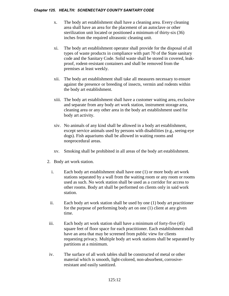- x. The body art establishment shall have a cleaning area. Every cleaning area shall have an area for the placement of an autoclave or other sterilization unit located or positioned a minimum of thirty-six (36) inches from the required ultrasonic cleaning unit.
- xi. The body art establishment operator shall provide for the disposal of all types of waste products in compliance with part 70 of the State sanitary code and the Sanitary Code. Solid waste shall be stored in covered, leakproof, rodent-resistant containers and shall be removed from the premises at least weekly.
- xii. The body art establishment shall take all measures necessary to ensure against the presence or breeding of insects, vermin and rodents within the body art establishment.
- xiii. The body art establishment shall have a customer waiting area, exclusive and separate from any body art work station, instrument storage area, cleaning area or any other area in the body art establishment used for body art activity.
- xiv. No animals of any kind shall be allowed in a body art establishment, except service animals used by persons with disabilities (e.g., seeing-eye dogs). Fish aquariums shall be allowed in waiting rooms and nonprocedural areas.
- xv. Smoking shall be prohibited in all areas of the body art establishment.
- 2. Body art work station.
	- i. Each body art establishment shall have one (1) or more body art work stations separated by a wall from the waiting room or any room or rooms used as such. No work station shall be used as a corridor for access to other rooms. Body art shall be performed on clients only in said work station.
	- ii. Each body art work station shall be used by one (1) body art practitioner for the purpose of performing body art on one (1) client at any given time.
- iii. Each body art work station shall have a minimum of forty-five (45) square feet of floor space for each practitioner. Each establishment shall have an area that may be screened from public view for clients requesting privacy. Multiple body art work stations shall be separated by partitions at a minimum.
- iv. The surface of all work tables shall be constructed of metal or other material which is smooth, light-colored, non-absorbent, corrosiveresistant and easily sanitized.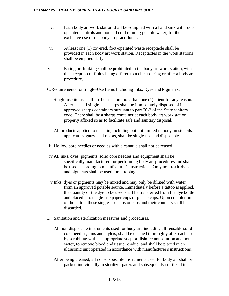- v. Each body art work station shall be equipped with a hand sink with footoperated controls and hot and cold running potable water, for the exclusive use of the body art practitioner.
- vi. At least one (1) covered, foot-operated waste receptacle shall be provided in each body art work station. Receptacles in the work stations shall be emptied daily.
- vii. Eating or drinking shall be prohibited in the body art work station, with the exception of fluids being offered to a client during or after a body art procedure.
- C.Requirements for Single-Use Items Including Inks, Dyes and Pigments.
	- i.Single-use items shall not be used on more than one (1) client for any reason. After use, all single-use sharps shall be immediately disposed of in approved sharps containers pursuant to part 70-2 of the State sanitary code. There shall be a sharps container at each body art work station properly affixed so as to facilitate safe and sanitary disposal.
	- ii. All products applied to the skin, including but not limited to body art stencils, applicators, gauze and razors, shall be single-use and disposable.
- iii.Hollow bore needles or needles with a cannula shall not be reused.
- iv.All inks, dyes, pigments, solid core needles and equipment shall be specifically manufactured for performing body art procedures and shall be used according to manufacturer's instructions. Only non-toxic dyes and pigments shall be used for tattooing.
- v.Inks, dyes or pigments may be mixed and may only be diluted with water from an approved potable source. Immediately before a tattoo is applied, the quantity of the dye to be used shall be transferred from the dye bottle and placed into single-use paper cups or plastic caps. Upon completion of the tattoo, these single-use cups or caps and their contents shall be discarded.
- D. Sanitation and sterilization measures and procedures.
	- i.All non-disposable instruments used for body art, including all reusable solid core needles, pins and stylets, shall be cleaned thoroughly after each use by scrubbing with an appropriate soap or disinfectant solution and hot water, to remove blood and tissue residue, and shall be placed in an ultrasonic unit operated in accordance with manufacturer's instructions.
	- ii.After being cleaned, all non-disposable instruments used for body art shall be packed individually in sterilizer packs and subsequently sterilized in a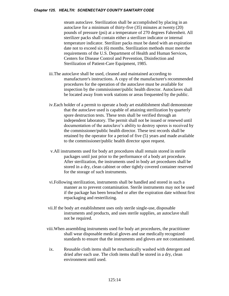steam autoclave. Sterilization shall be accomplished by placing in an autoclave for a minimum of thirty-five (35) minutes at twenty (20) pounds of pressure (psi) at a temperature of 270 degrees Fahrenheit. All sterilizer packs shall contain either a sterilizer indicator or internal temperature indicator. Sterilizer packs must be dated with an expiration date not to exceed six (6) months. Sterilization methods must meet the requirements of the U.S. Department of Health and Human Services, Centers for Disease Control and Prevention, Disinfection and Sterilization of Patient-Care Equipment, 1985.

- iii.The autoclave shall be used, cleaned and maintained according to manufacturer's instructions. A copy of the manufacturer's recommended procedures for the operation of the autoclave must be available for inspection by the commissioner/public health director. Autoclaves shall be located away from work stations or areas frequented by the public.
- iv.Each holder of a permit to operate a body art establishment shall demonstrate that the autoclave used is capable of attaining sterilization by quarterly spore destruction tests. These tests shall be verified through an independent laboratory. The permit shall not be issued or renewed until documentation of the autoclave's ability to destroy spores is received by the commissioner/public health director. These test records shall be retained by the operator for a period of five (5) years and made available to the commissioner/public health director upon request.
- v.All instruments used for body art procedures shall remain stored in sterile packages until just prior to the performance of a body art procedure. After sterilization, the instruments used in body art procedures shall be stored in a dry, clean cabinet or other tightly covered container reserved for the storage of such instruments.
- vi.Following sterilization, instruments shall be handled and stored in such a manner as to prevent contamination. Sterile instruments may not be used if the package has been breached or after the expiration date without first repackaging and resterilizing.
- vii.If the body art establishment uses only sterile single-use, disposable instruments and products, and uses sterile supplies, an autoclave shall not be required.
- viii.When assembling instruments used for body art procedures, the practitioner shall wear disposable medical gloves and use medically recognized standards to ensure that the instruments and gloves are not contaminated.
- ix. Reusable cloth items shall be mechanically washed with detergent and dried after each use. The cloth items shall be stored in a dry, clean environment until used.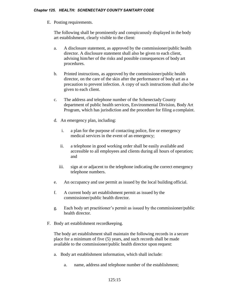E. Posting requirements.

The following shall be prominently and conspicuously displayed in the body art establishment, clearly visible to the client:

- a. A disclosure statement, as approved by the commissioner/public health director. A disclosure statement shall also be given to each client, advising him/her of the risks and possible consequences of body art procedures.
- b. Printed instructions, as approved by the commissioner/public health director, on the care of the skin after the performance of body art as a precaution to prevent infection. A copy of such instructions shall also be given to each client.
- c. The address and telephone number of the Schenectady County department of public health services, Environmental Division, Body Art Program, which has jurisdiction and the procedure for filing a complaint.
- d. An emergency plan, including:
	- i. a plan for the purpose of contacting police, fire or emergency medical services in the event of an emergency;
	- ii. a telephone in good working order shall be easily available and accessible to all employees and clients during all hours of operation; and
	- iii. sign at or adjacent to the telephone indicating the correct emergency telephone numbers.
- e. An occupancy and use permit as issued by the local building official.
- f. A current body art establishment permit as issued by the commissioner/public health director.
- g. Each body art practitioner's permit as issued by the commissioner/public health director.
- F. Body art establishment recordkeeping.

The body art establishment shall maintain the following records in a secure place for a minimum of five (5) years, and such records shall be made available to the commissioner/public health director upon request:

- a. Body art establishment information, which shall include:
	- a. name, address and telephone number of the establishment;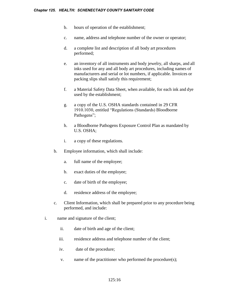- b. hours of operation of the establishment;
- c. name, address and telephone number of the owner or operator;
- d. a complete list and description of all body art procedures performed;
- e. an inventory of all instruments and body jewelry, all sharps, and all inks used for any and all body art procedures, including names of manufacturers and serial or lot numbers, if applicable. Invoices or packing slips shall satisfy this requirement;
- f. a Material Safety Data Sheet, when available, for each ink and dye used by the establishment;
- g. a copy of the U.S. OSHA standards contained in 29 CFR 1910.1030, entitled "Regulations (Standards) Bloodborne Pathogens";
- h. a Bloodborne Pathogens Exposure Control Plan as mandated by U.S. OSHA;
- i. a copy of these regulations.
- b. Employee information, which shall include:
	- a. full name of the employee;
	- b. exact duties of the employee;
	- c. date of birth of the employee;
	- d. residence address of the employee;
- c. Client Information, which shall be prepared prior to any procedure being performed, and include:
- i. name and signature of the client;
	- ii. date of birth and age of the client;
	- iii. residence address and telephone number of the client;
	- iv. date of the procedure;
	- v. name of the practitioner who performed the procedure(s);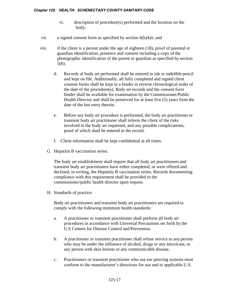- vi. description of procedure(s) performed and the location on the body;
- vii. a signed consent form as specified by section 6(h)4)ii; and
- viii. if the client is a person under the age of eighteen (18), proof of parental or guardian identification, presence and consent including a copy of the photographic identification of the parent or guardian as specified by section 5(b).
	- d. Records of body art performed shall be entered in ink or indelible pencil and kept on file. Additionally, all fully completed and signed client consent forms shall be kept in a binder in reverse chronological order of the date of the procedure(s). Body art records and the consent form binder shall be available for examination by the Commissioner/Public Health Director and shall be preserved for at least five (5) years from the date of the last entry therein.
	- e. Before any body art procedure is performed, the body art practitioner or transient body art practitioner shall inform the client of the risks involved in the body art requested, and any possible complications, proof of which shall be entered in the record.
	- f. Client information shall be kept confidential at all times.
	- G. Hepatitis B vaccination series.

The body art establishment shall require that all body art practitioners and transient body art practitioners have either completed, or were offered and declined, in writing, the Hepatitis B vaccination series. Records documenting compliance with this requirement shall be provided to the commissioner/public health director upon request.

H. Standards of practice.

Body art practitioners and transient body art practitioners are required to comply with the following minimum health standards:

- a. A practitioner or transient practitioner shall perform all body art procedures in accordance with Universal Precautions set forth by the U.S Centers for Disease Control and Prevention.
- b. A practitioner or transient practitioner shall refuse service to any person who may be under the influence of alcohol, drugs or any intoxicant, or any person with skin lesions or any communicable disease.
- c. Practitioners or transient practitioner who use ear piercing systems must conform to the manufacturer's directions for use and to applicable U.S.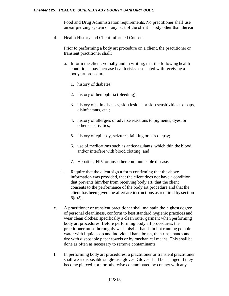Food and Drug Administration requirements. No practitioner shall use an ear piercing system on any part of the client's body other than the ear.

d. Health History and Client Informed Consent

Prior to performing a body art procedure on a client, the practitioner or transient practitioner shall:

- a. Inform the client, verbally and in writing, that the following health conditions may increase health risks associated with receiving a body art procedure:
	- 1. history of diabetes;
	- 2. history of hemophilia (bleeding);
	- 3. history of skin diseases, skin lesions or skin sensitivities to soaps, disinfectants, etc.;
	- 4. history of allergies or adverse reactions to pigments, dyes, or other sensitivities;
	- 5. history of epilepsy, seizures, fainting or narcolepsy;
	- 6. use of medications such as anticoagulants, which thin the blood and/or interfere with blood clotting; and
	- 7. Hepatitis, HIV or any other communicable disease.
- ii. Require that the client sign a form confirming that the above information was provided, that the client does not have a condition that prevents him/her from receiving body art, that the client consents to the performance of the body art procedure and that the client has been given the aftercare instructions as required by section 6(e)2).
- e. A practitioner or transient practitioner shall maintain the highest degree of personal cleanliness, conform to best standard hygienic practices and wear clean clothes; specifically a clean outer garment when performing body art procedures. Before performing body art procedures, the practitioner must thoroughly wash his/her hands in hot running potable water with liquid soap and individual hand brush, then rinse hands and dry with disposable paper towels or by mechanical means. This shall be done as often as necessary to remove contaminants.
- f. In performing body art procedures, a practitioner or transient practitioner shall wear disposable single-use gloves. Gloves shall be changed if they become pierced, torn or otherwise contaminated by contact with any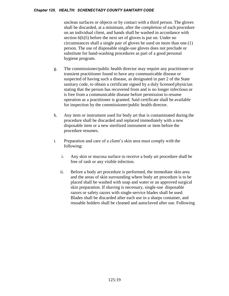unclean surfaces or objects or by contact with a third person. The gloves shall be discarded, at a minimum, after the completion of each procedure on an individual client, and hands shall be washed in accordance with section 6(h)5) before the next set of gloves is put on. Under no circumstances shall a single pair of gloves be used on more than one (1) person. The use of disposable single-use gloves does not preclude or substitute for hand-washing procedures as part of a good personal hygiene program.

- g. The commissioner/public health director may require any practitioner or transient practitioner found to have any communicable disease or suspected of having such a disease, as designated in part 2 of the State sanitary code, to obtain a certificate signed by a duly licensed physician stating that the person has recovered from and is no longer infectious or is free from a communicable disease before permission to resume operation as a practitioner is granted. Said certificate shall be available for inspection by the commissioner/public health director.
- h. Any item or instrument used for body art that is contaminated during the procedure shall be discarded and replaced immediately with a new disposable item or a new sterilized instrument or item before the procedure resumes.
- i. Preparation and care of a client's skin area must comply with the following:
	- i. Any skin or mucosa surface to receive a body art procedure shall be free of rash or any visible infection.
	- ii. Before a body art procedure is performed, the immediate skin area and the areas of skin surrounding where body art procedure is to be placed shall be washed with soap and water or an approved surgical skin preparation. If shaving is necessary, single-use disposable razors or safety razors with single-service blades shall be used. Blades shall be discarded after each use in a sharps container, and reusable holders shall be cleaned and autoclaved after use. Following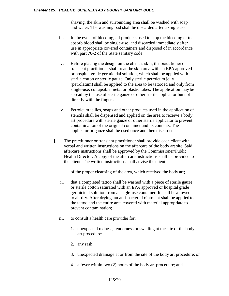shaving, the skin and surrounding area shall be washed with soap and water. The washing pad shall be discarded after a single use.

- iii. In the event of bleeding, all products used to stop the bleeding or to absorb blood shall be single-use, and discarded immediately after use in appropriate covered containers and disposed of in accordance with part 70-2 of the State sanitary code.
- iv. Before placing the design on the client's skin, the practitioner or transient practitioner shall treat the skin area with an EPA approved or hospital grade germicidal solution, which shall be applied with sterile cotton or sterile gauze. Only sterile petroleum jelly (petrolatum) shall be applied to the area to be tattooed and only from single-use, collapsible metal or plastic tubes. The application may be spread by the use of sterile gauze or other sterile applicator but not directly with the fingers.
- v. Petroleum jellies, soaps and other products used in the application of stencils shall be dispensed and applied on the area to receive a body art procedure with sterile gauze or other sterile applicator to prevent contamination of the original container and its contents. The applicator or gauze shall be used once and then discarded.
- j. The practitioner or transient practitioner shall provide each client with verbal and written instructions on the aftercare of the body art site. Said aftercare instructions shall be approved by the Commissioner/Public Health Director. A copy of the aftercare instructions shall be provided to the client. The written instructions shall advise the client:
	- i. of the proper cleansing of the area, which received the body art;
	- ii. that a completed tattoo shall be washed with a piece of sterile gauze or sterile cotton saturated with an EPA approved or hospital grade germicidal solution from a single-use container. It shall be allowed to air dry. After drying, an anti-bacterial ointment shall be applied to the tattoo and the entire area covered with material appropriate to prevent contamination;
	- iii. to consult a health care provider for:
		- 1. unexpected redness, tenderness or swelling at the site of the body art procedure;
		- 2. any rash;
		- 3. unexpected drainage at or from the site of the body art procedure; or
		- 4. a fever within two (2) hours of the body art procedure; and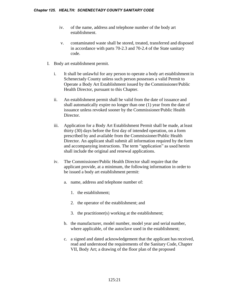- iv. of the name, address and telephone number of the body art establishment.
- v. contaminated waste shall be stored, treated, transferred and disposed in accordance with parts 70-2.3 and 70-2.4 of the State sanitary code.
- I. Body art establishment permit.
	- i. It shall be unlawful for any person to operate a body art establishment in Schenectady County unless such person possesses a valid Permit to Operate a Body Art Establishment issued by the Commissioner/Public Health Director, pursuant to this Chapter.
	- ii. An establishment permit shall be valid from the date of issuance and shall automatically expire no longer than one (1) year from the date of issuance unless revoked sooner by the Commissioner/Public Health Director.
	- iii. Application for a Body Art Establishment Permit shall be made, at least thirty (30) days before the first day of intended operation, on a form prescribed by and available from the Commissioner/Public Health Director. An applicant shall submit all information required by the form and accompanying instructions. The term "application" as used herein shall include the original and renewal applications.
	- iv. The Commissioner/Public Health Director shall require that the applicant provide, at a minimum, the following information in order to be issued a body art establishment permit:
		- a. name, address and telephone number of:
			- 1. the establishment;
			- 2. the operator of the establishment; and
			- 3. the practitioner(s) working at the establishment;
		- b. the manufacturer, model number, model year and serial number, where applicable, of the autoclave used in the establishment;
		- c. a signed and dated acknowledgement that the applicant has received, read and understood the requirements of the Sanitary Code, Chapter VII, Body Art; a drawing of the floor plan of the proposed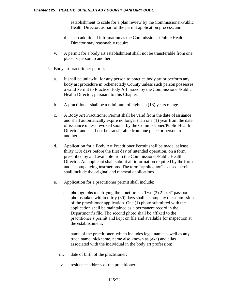establishment to scale for a plan review by the Commissioner/Public Health Director, as part of the permit application process; and

- d. such additional information as the Commissioner/Public Health Director may reasonably require.
- v. A permit for a body art establishment shall not be transferable from one place or person to another.
- J. Body art practitioner permit.
	- a. It shall be unlawful for any person to practice body art or perform any body art procedure in Schenectady County unless such person possesses a valid Permit to Practice Body Art issued by the Commissioner/Public Health Director, pursuant to this Chapter.
	- b. A practitioner shall be a minimum of eighteen (18) years of age.
	- c. A Body Art Practitioner Permit shall be valid from the date of issuance and shall automatically expire no longer than one (1) year from the date of issuance unless revoked sooner by the Commissioner/Public Health Director and shall not be transferable from one place or person to another.
	- d. Application for a Body Art Practitioner Permit shall be made, at least thirty (30) days before the first day of intended operation, on a form prescribed by and available from the Commissioner/Public Health Director. An applicant shall submit all information required by the form and accompanying instructions. The term "application" as used herein shall include the original and renewal applications.
	- e. Application for a practitioner permit shall include:
		- i. photographs identifying the practitioner. Two (2) 2" x 3" passport photos taken within thirty (30) days shall accompany the submission of the practitioner application. One (1) photo submitted with the application shall be maintained as a permanent record in the Department's file. The second photo shall be affixed to the practitioner's permit and kept on file and available for inspection at the establishment;
		- ii. name of the practitioner, which includes legal name as well as any trade name, nickname, name also known as (aka) and alias associated with the individual in the body art profession;
		- iii. date of birth of the practitioner;
		- iv. residence address of the practitioner;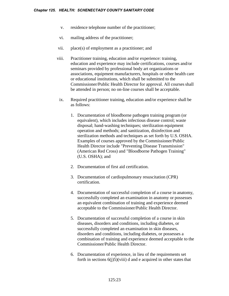- v. residence telephone number of the practitioner;
- vi. mailing address of the practitioner;
- vii. place(s) of employment as a practitioner; and
- viii. Practitioner training, education and/or experience: training, education and experience may include certifications, courses and/or seminars provided by professional body art organizations or associations, equipment manufacturers, hospitals or other health care or educational institutions, which shall be submitted to the Commissioner/Public Health Director for approval. All courses shall be attended in person; no on-line courses shall be acceptable.
- ix. Required practitioner training, education and/or experience shall be as follows:
	- 1. Documentation of bloodborne pathogen training program (or equivalent), which includes infectious disease control; waste disposal; hand-washing techniques; sterilization equipment operation and methods; and sanitization, disinfection and sterilization methods and techniques as set forth by U.S. OSHA. Examples of courses approved by the Commissioner/Public Health Director include "Preventing Disease Transmission" (American Red Cross) and "Bloodborne Pathogen Training" (U.S. OSHA); and
	- 2. Documentation of first aid certification.
	- 3. Documentation of cardiopulmonary resuscitation (CPR) certification.
	- 4. Documentation of successful completion of a course in anatomy, successfully completed an examination in anatomy or possesses an equivalent combination of training and experience deemed acceptable to the Commissioner/Public Health Director.
	- 5. Documentation of successful completion of a course in skin diseases, disorders and conditions, including diabetes, or successfully completed an examination in skin diseases, disorders and conditions, including diabetes, or possesses a combination of training and experience deemed acceptable to the Commissioner/Public Health Director.
	- 6. Documentation of experience, in lieu of the requirements set forth in sections  $6(j)5)(viii)$  d and e acquired in other states that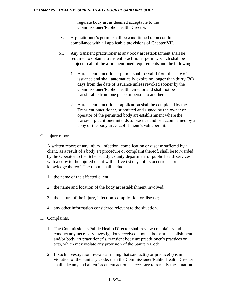regulate body art as deemed acceptable to the Commissioner/Public Health Director.

- x. A practitioner's permit shall be conditioned upon continued compliance with all applicable provisions of Chapter VII.
- xi. Any transient practitioner at any body art establishment shall be required to obtain a transient practitioner permit, which shall be subject to all of the aforementioned requirements and the following:
	- 1. A transient practitioner permit shall be valid from the date of issuance and shall automatically expire no longer than thirty (30) days from the date of issuance unless revoked sooner by the Commissioner/Public Health Director and shall not be transferable from one place or person to another.
	- 2. A transient practitioner application shall be completed by the Transient practitioner, submitted and signed by the owner or operator of the permitted body art establishment where the transient practitioner intends to practice and be accompanied by a copy of the body art establishment's valid permit.
- G. Injury reports.

A written report of any injury, infection, complication or disease suffered by a client, as a result of a body art procedure or complaint thereof, shall be forwarded by the Operator to the Schenectady County department of public health services with a copy to the injured client within five (5) days of its occurrence or knowledge thereof. The report shall include:

- 1. the name of the affected client;
- 2. the name and location of the body art establishment involved;
- 3. the nature of the injury, infection, complication or disease;
- 4. any other information considered relevant to the situation.
- H. Complaints.
	- 1. The Commissioner/Public Health Director shall review complaints and conduct any necessary investigations received about a body art establishment and/or body art practitioner's, transient body art practitioner's practices or acts, which may violate any provision of the Sanitary Code.
	- 2. If such investigation reveals a finding that said  $act(s)$  or practice(s) is in violation of the Sanitary Code, then the Commissioner/Public Health Director shall take any and all enforcement action is necessary to remedy the situation.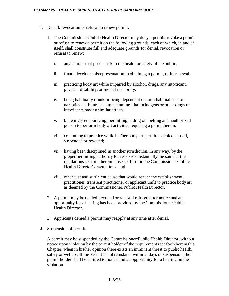- I. Denial, revocation or refusal to renew permit.
	- 1. The Commissioner/Public Health Director may deny a permit, revoke a permit or refuse to renew a permit on the following grounds, each of which, in and of itself, shall constitute full and adequate grounds for denial, revocation or refusal to renew:
		- i. any actions that pose a risk to the health or safety of the public;
		- ii. fraud, deceit or misrepresentation in obtaining a permit, or its renewal;
		- iii. practicing body art while impaired by alcohol, drugs, any intoxicant, physical disability, or mental instability;
		- iv. being habitually drunk or being dependent on, or a habitual user of narcotics, barbiturates, amphetamines, hallucinogens or other drugs or intoxicants having similar effects;
		- v. knowingly encouraging, permitting, aiding or abetting an unauthorized person to perform body art activities requiring a permit herein;
		- vi. continuing to practice while his/her body art permit is denied, lapsed, suspended or revoked;
		- vii. having been disciplined in another jurisdiction, in any way, by the proper permitting authority for reasons substantially the same as the regulations set forth herein those set forth in the Commissioner/Public Health Director's regulations; and
		- viii. other just and sufficient cause that would render the establishment, practitioner, transient practitioner or applicant unfit to practice body art as deemed by the Commissioner/Public Health Director.
	- 2. A permit may be denied, revoked or renewal refused after notice and an opportunity for a hearing has been provided by the Commissioner/Public Health Director.
	- 3. Applicants denied a permit may reapply at any time after denial.
- J. Suspension of permit.

A permit may be suspended by the Commissioner/Public Health Director, without notice upon violation by the permit holder of the requirements set forth herein this Chapter, when in his/her opinion there exists an imminent threat to public health, safety or welfare. If the Permit is not reinstated within 5 days of suspension, the permit holder shall be entitled to notice and an opportunity for a hearing on the violation.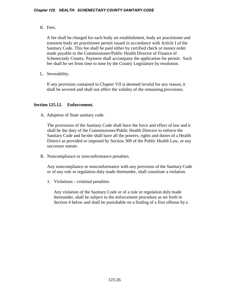K. Fees.

A fee shall be charged for each body art establishment, body art practitioner and transient body art practitioner permit issued in accordance with Article I of the Sanitary Code. This fee shall be paid either by certified check or money order made payable to the Commissioner/Public Health Director of Finance of Schenectady County. Payment shall accompany the application for permit. Such fee shall be set from time to time by the County Legislature by resolution.

L. Severability.

If any provision contained in Chapter VII is deemed invalid for any reason, it shall be severed and shall not affect the validity of the remaining provisions.

# **Section 125.12. Enforcement.**

A. Adoption of State sanitary code.

The provisions of the Sanitary Code shall have the force and effect of law and it shall be the duty of the Commissioner/Public Health Director to enforce the Sanitary Code and he/she shall have all the powers, rights and duties of a Health District as provided or imposed by Section 309 of the Public Health Law, or any successor statute.

B. Noncompliance or nonconformance penalties.

Any noncompliance or nonconformance with any provision of the Sanitary Code or of any rule or regulation duly made thereunder, shall constitute a violation.

1. Violations—criminal penalties.

Any violation of the Sanitary Code or of a rule or regulation duly made thereunder, shall be subject to the enforcement procedure as set forth in Section 4 below and shall be punishable on a finding of a first offense by a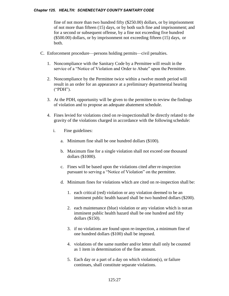fine of not more than two hundred fifty (\$250.00) dollars, or by imprisonment of not more than fifteen (15) days, or by both such fine and imprisonment; and for a second or subsequent offense, by a fine not exceeding five hundred (\$500.00) dollars, or by imprisonment not exceeding fifteen (15) days, or both.

- C. Enforcement procedure—persons holding permits—civil penalties.
	- 1. Noncompliance with the Sanitary Code by a Permittee will result in the service of a "Notice of Violation and Order to Abate" upon the Permittee.
	- 2. Noncompliance by the Permittee twice within a twelve month period will result in an order for an appearance at a preliminary departmental hearing ("PDH").
	- 3. At the PDH, opportunity will be given to the permittee to review the findings of violation and to propose an adequate abatement schedule.
	- 4. Fines levied for violations cited on re-inspectionshall be directly related to the gravity of the violations charged in accordance with the following schedule:
		- i. Fine guidelines:
			- a. Minimum fine shall be one hundred dollars (\$100).
			- b. Maximum fine for a single violation shall not exceed one thousand dollars (\$1000).
			- c. Fines will be based upon the violations cited afterre-inspection pursuant to serving a "Notice of Violation" on the permittee.
			- d. Minimum fines for violations which are cited on re-inspection shall be:
				- 1. each critical (red) violation or any violation deemed to be an imminent public health hazard shall be two hundred dollars (\$200).
				- 2. each maintenance (blue) violation or any violation which is not an imminent public health hazard shall be one hundred and fifty dollars (\$150).
				- 3. if no violations are found upon re-inspection, a minimum fine of one hundred dollars (\$100) shall be imposed.
				- 4. violations of the same number and/or letter shall only be counted as 1 item in determination of the fine amount.
				- 5. Each day or a part of a day on which violation(s), or failure continues, shall constitute separate violations.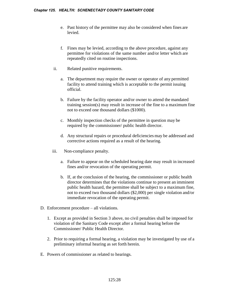- e. Past history of the permittee may also be considered when fines are levied.
- f. Fines may be levied, according to the above procedure, against any permittee for violations of the same number and/or letter which are repeatedly cited on routine inspections.
- ii. Related punitive requirements.
	- a. The department may require the owner or operator of any permitted facility to attend training which is acceptable to the permit issuing official.
	- b. Failure by the facility operator and/or owner to attend the mandated training session(s) may result in increase of the fine to a maximum fine not to exceed one thousand dollars (\$1000).
	- c. Monthly inspection checks of the permittee in question may be required by the commissioner/ public health director.
	- d. Any structural repairs or procedural deficiencies may be addressed and corrective actions required as a result of the hearing.
- iii. Non-compliance penalty.
	- a. Failure to appear on the scheduled hearing date may result in increased fines and/or revocation of the operating permit.
	- b. If, at the conclusion of the hearing, the commissioner or public health director determines that the violations continue to present an imminent public health hazard, the permittee shall be subject to a maximum fine, not to exceed two thousand dollars (\$2,000) per single violation and/or immediate revocation of the operating permit.
- D. Enforcement procedure all violations.
	- 1. Except as provided in Section 3 above, no civil penalties shall be imposed for violation of the Sanitary Code except after a formal hearing before the Commissioner/ Public Health Director.
	- 2. Prior to requiring a formal hearing, a violation may be investigated by use of a preliminary informal hearing as set forth herein.
- E. Powers of commissioner as related to hearings.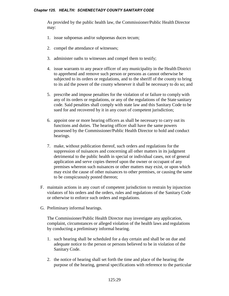As provided by the public health law, the Commissioner/Public Health Director may:

- 1. issue subpoenas and/or subpoenas duces tecum;
- 2. compel the attendance of witnesses;
- 3. administer oaths to witnesses and compel them to testify;
- 4. issue warrants to any peace officer of any municipality in the Health District to apprehend and remove such person or persons as cannot otherwise be subjected to its orders or regulations, and to the sheriff of the county to bring to its aid the power of the county whenever it shall be necessary to do so; and
- 5. prescribe and impose penalties for the violation of or failure to comply with any of its orders or regulations, or any of the regulations of the State sanitary code. Said penalties shall comply with state law and this Sanitary Code to be sued for and recovered by it in any court of competent jurisdiction;
- 6. appoint one or more hearing officers as shall be necessary to carry out its functions and duties. The hearing officer shall have the same powers possessed by the Commissioner/Public Health Director to hold and conduct hearings.
- 7. make, without publication thereof, such orders and regulations for the suppression of nuisances and concerning all other matters in its judgment detrimental to the public health in special or individual cases, not of general application and serve copies thereof upon the owner or occupant of any premises whereon such nuisances or other matters may exist, or upon which may exist the cause of other nuisances to other premises, or causing the same to be conspicuously posted thereon;
- F. maintain actions in any court of competent jurisdiction to restrain by injunction violators of his orders and the orders, rules and regulations of the Sanitary Code or otherwise to enforce such orders and regulations.
- G. Preliminary informal hearings.

The Commissioner/Public Health Director may investigate any application, complaint, circumstances or alleged violation of the health laws and regulations by conducting a preliminary informal hearing.

- 1. such hearing shall be scheduled for a day certain and shall be on due and adequate notice to the person or persons believed to be in violation of the Sanitary Code.
- 2. the notice of hearing shall set forth the time and place of the hearing; the purpose of the hearing, general specifications with reference to the particular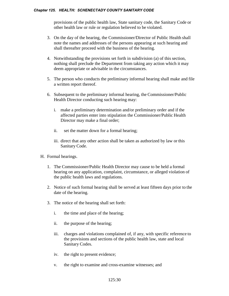provisions of the public health law, State sanitary code, the Sanitary Code or other health law or rule or regulation believed to be violated.

- 3. On the day of the hearing, the Commissioner/Director of Public Health shall note the names and addresses of the persons appearing at such hearing and shall thereafter proceed with the business of the hearing.
- 4. Notwithstanding the provisions set forth in subdivision (a) of this section, nothing shall preclude the Department from taking any action which it may deem appropriate or advisable in the circumstances.
- 5. The person who conducts the preliminary informal hearing shall make and file a written report thereof.
- 6. Subsequent to the preliminary informal hearing, the Commissioner/Public Health Director conducting such hearing may:
	- i. make a preliminary determination and/or preliminary order and if the affected parties enter into stipulation the Commissioner/Public Health Director may make a final order;
	- ii. set the matter down for a formal hearing;
	- iii. direct that any other action shall be taken as authorized by law or this Sanitary Code.
- H. Formal hearings.
	- 1. The Commissioner/Public Health Director may cause to be held a formal hearing on any application, complaint, circumstance, or alleged violation of the public health laws and regulations.
	- 2. Notice of such formal hearing shall be served at least fifteen days prior to the date of the hearing.
	- 3. The notice of the hearing shall set forth:
		- i. the time and place of the hearing;
		- ii. the purpose of the hearing;
		- iii. charges and violations complained of, if any, with specific reference to the provisions and sections of the public health law, state and local Sanitary Codes.
		- iv. the right to present evidence;
		- v. the right to examine and cross-examine witnesses; and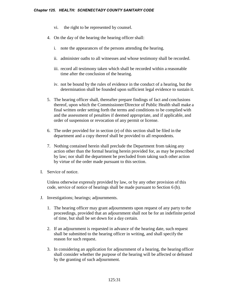- vi. the right to be represented by counsel.
- 4. On the day of the hearing the hearing officer shall:
	- i. note the appearances of the persons attending the hearing.
	- ii. administer oaths to all witnesses and whose testimony shall be recorded.
	- iii. record all testimony taken which shall be recorded within a reasonable time after the conclusion of the hearing.
	- iv. not be bound by the rules of evidence in the conduct of a hearing, but the determination shall be founded upon sufficient legal evidence to sustain it.
- 5. The hearing officer shall, thereafter prepare findings of fact and conclusions thereof, upon which the Commissioner/Director of Public Health shall make a final written order setting forth the terms and conditions to be complied with and the assessment of penalties if deemed appropriate, and if applicable, and order of suspension or revocation of any permit or license.
- 6. The order provided for in section (e) of this section shall be filed in the department and a copy thereof shall be provided to all respondents.
- 7. Nothing contained herein shall preclude the Department from taking any action other than the formal hearing herein provided for, as may be prescribed by law; nor shall the department be precluded from taking such other action by virtue of the order made pursuant to this section.
- I. Service of notice.

Unless otherwise expressly provided by law, or by any other provision of this code, service of notice of hearings shall be made pursuant to Section 6 (b).

- J. Investigations; hearings; adjournments.
	- 1. The hearing officer may grant adjournments upon request of any party to the proceedings, provided that an adjournment shall not be for an indefinite period of time, but shall be set down for a day certain.
	- 2. If an adjournment is requested in advance of the hearing date, such request shall be submitted to the hearing officer in writing, and shall specify the reason for such request.
	- 3. In considering an application for adjournment of a hearing, the hearing officer shall consider whether the purpose of the hearing will be affected or defeated by the granting of such adjournment.